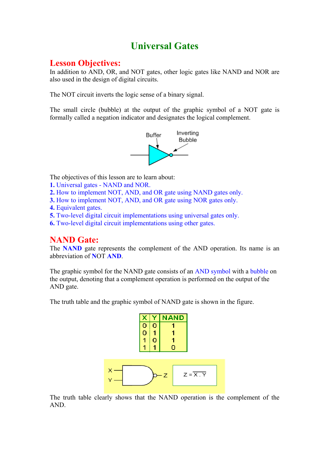# **Universal Gates**

# **Lesson Objectives:**

In addition to AND, OR, and NOT gates, other logic gates like NAND and NOR are also used in the design of digital circuits.

The NOT circuit inverts the logic sense of a binary signal.

The small circle (bubble) at the output of the graphic symbol of a NOT gate is formally called a negation indicator and designates the logical complement.



The objectives of this lesson are to learn about:

- **1.** Universal gates NAND and NOR.
- **2.** How to implement NOT, AND, and OR gate using NAND gates only.
- **3.** How to implement NOT, AND, and OR gate using NOR gates only.
- **4.** Equivalent gates.
- **5.** Two-level digital circuit implementations using universal gates only.
- **6.** Two-level digital circuit implementations using other gates.

# **NAND Gate:**

The **NAND** gate represents the complement of the AND operation. Its name is an abbreviation of **N**OT **AND**.

The graphic symbol for the NAND gate consists of an AND symbol with a bubble on the output, denoting that a complement operation is performed on the output of the AND gate.

The truth table and the graphic symbol of NAND gate is shown in the figure.



The truth table clearly shows that the NAND operation is the complement of the AND.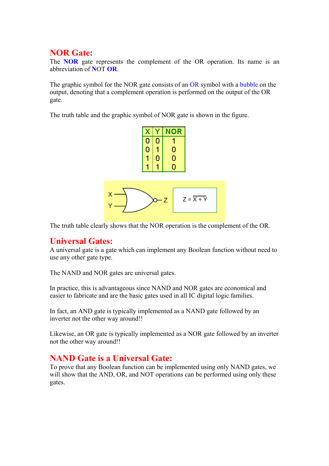# **NOR Gate:**

The **NOR** gate represents the complement of the OR operation. Its name is an abbreviation of **N**OT **OR**.

The graphic symbol for the NOR gate consists of an OR symbol with a bubble on the output, denoting that a complement operation is performed on the output of the OR gate.

The truth table and the graphic symbol of NOR gate is shown in the figure.



The truth table clearly shows that the NOR operation is the complement of the OR.

# **Universal Gates:**

A universal gate is a gate which can implement any Boolean function without need to use any other gate type.

The NAND and NOR gates are universal gates.

In practice, this is advantageous since NAND and NOR gates are economical and easier to fabricate and are the basic gates used in all IC digital logic families.

In fact, an AND gate is typically implemented as a NAND gate followed by an inverter not the other way around!!

Likewise, an OR gate is typically implemented as a NOR gate followed by an inverter not the other way around!!

# **NAND Gate is a Universal Gate:**

To prove that any Boolean function can be implemented using only NAND gates, we will show that the AND, OR, and NOT operations can be performed using only these gates.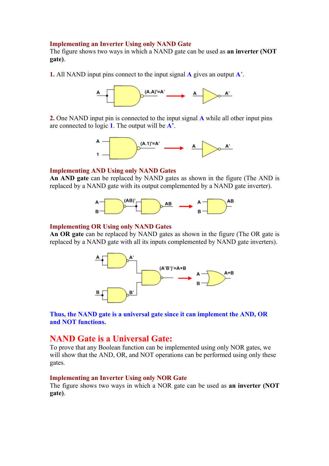### **Implementing an Inverter Using only NAND Gate**

The figure shows two ways in which a NAND gate can be used as **an inverter (NOT gate)**.

**1.** All NAND input pins connect to the input signal **A** gives an output **A**'.



**2.** One NAND input pin is connected to the input signal **A** while all other input pins are connected to logic **1**. The output will be **A'**.



#### **Implementing AND Using only NAND Gates**

**An AND gate** can be replaced by NAND gates as shown in the figure (The AND is replaced by a NAND gate with its output complemented by a NAND gate inverter).



### **Implementing OR Using only NAND Gates**

**An OR gate** can be replaced by NAND gates as shown in the figure (The OR gate is replaced by a NAND gate with all its inputs complemented by NAND gate inverters).



**Thus, the NAND gate is a universal gate since it can implement the AND, OR and NOT functions.**

# **NAND Gate is a Universal Gate:**

To prove that any Boolean function can be implemented using only NOR gates, we will show that the AND, OR, and NOT operations can be performed using only these gates.

### **Implementing an Inverter Using only NOR Gate**

The figure shows two ways in which a NOR gate can be used as **an inverter (NOT gate)**.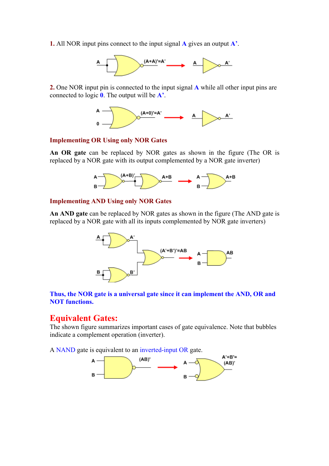**1.** All NOR input pins connect to the input signal **A** gives an output **A'**.



**2.** One NOR input pin is connected to the input signal **A** while all other input pins are connected to logic **0**. The output will be **A'**.



### **Implementing OR Using only NOR Gates**

**An OR gate** can be replaced by NOR gates as shown in the figure (The OR is replaced by a NOR gate with its output complemented by a NOR gate inverter)



### **Implementing AND Using only NOR Gates**

**An AND gate** can be replaced by NOR gates as shown in the figure (The AND gate is replaced by a NOR gate with all its inputs complemented by NOR gate inverters)



## **Thus, the NOR gate is a universal gate since it can implement the AND, OR and NOT functions.**

## **Equivalent Gates:**

The shown figure summarizes important cases of gate equivalence. Note that bubbles indicate a complement operation (inverter).

A NAND gate is equivalent to an inverted-input OR gate.

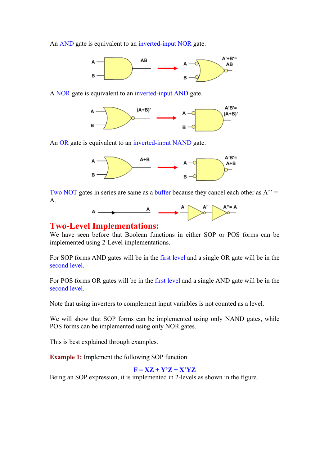An AND gate is equivalent to an inverted-input NOR gate.



A NOR gate is equivalent to an inverted-input AND gate.



An OR gate is equivalent to an inverted-input NAND gate.



Two NOT gates in series are same as a buffer because they cancel each other as  $A'' =$ A.



## **Two-Level Implementations:**

We have seen before that Boolean functions in either SOP or POS forms can be implemented using 2-Level implementations.

For SOP forms AND gates will be in the first level and a single OR gate will be in the second level.

For POS forms OR gates will be in the first level and a single AND gate will be in the second level.

Note that using inverters to complement input variables is not counted as a level.

We will show that SOP forms can be implemented using only NAND gates, while POS forms can be implemented using only NOR gates.

This is best explained through examples.

**Example 1:** Implement the following SOP function

## $F = XZ + Y'Z + X'YZ$

Being an SOP expression, it is implemented in 2-levels as shown in the figure.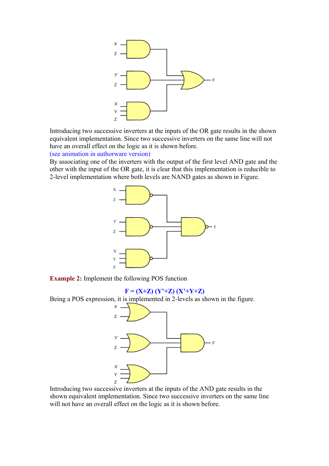

Introducing two successive inverters at the inputs of the OR gate results in the shown equivalent implementation. Since two successive inverters on the same line will not have an overall effect on the logic as it is shown before.

(see animation in authorware version)

By associating one of the inverters with the output of the first level AND gate and the other with the input of the OR gate, it is clear that this implementation is reducible to 2-level implementation where both levels are NAND gates as shown in Figure.



**Example 2:** Implement the following POS function

### $F = (X+Z) (Y^*+Z) (X^*+Y+Z)$

Being a POS expression, it is implemented in 2-levels as shown in the figure.



Introducing two successive inverters at the inputs of the AND gate results in the shown equivalent implementation. Since two successive inverters on the same line will not have an overall effect on the logic as it is shown before.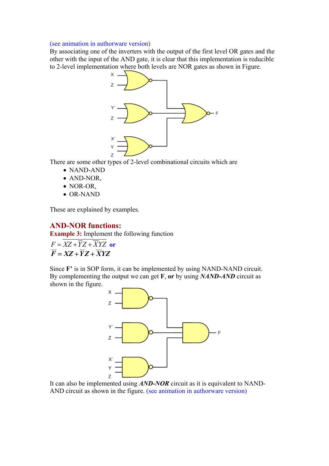#### (see animation in authorware version)

By associating one of the inverters with the output of the first level OR gates and the other with the input of the AND gate, it is clear that this implementation is reducible to 2-level implementation where both levels are NOR gates as shown in Figure.



There are some other types of 2-level combinational circuits which are

- NAND-AND
- AND-NOR,
- NOR-OR,
- OR-NAND

These are explained by examples.

## **AND-NOR functions:**

**Example 3:** Implement the following function

 $F = XZ + \overline{Y}Z + \overline{X}YZ$  or  $\overline{F} = XZ + \overline{Y}Z + \overline{X}YZ$ 

Since **F'** is in SOP form, it can be implemented by using NAND-NAND circuit. By complementing the output we can get **F**, **or** by using *NAND-AND* circuit as shown in the figure.



It can also be implemented using *AND-NOR* circuit as it is equivalent to NAND-AND circuit as shown in the figure. (see animation in authorware version)